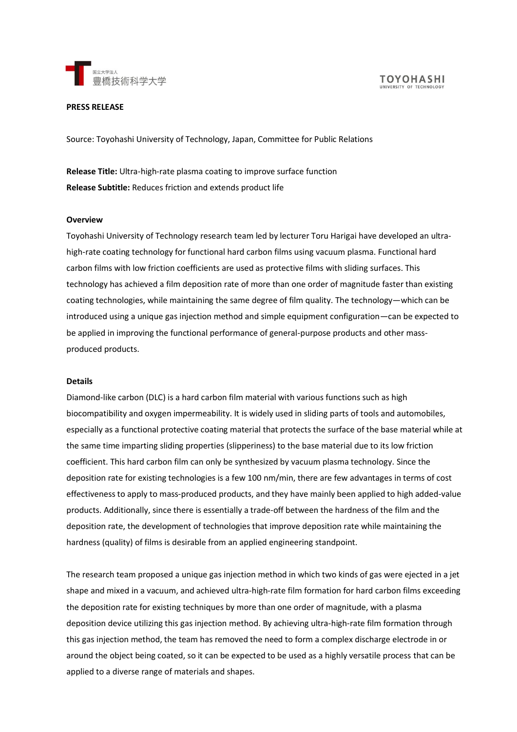



# **PRESS RELEASE**

Source: Toyohashi University of Technology, Japan, Committee for Public Relations

**Release Title:** Ultra-high-rate plasma coating to improve surface function **Release Subtitle:** Reduces friction and extends product life

### **Overview**

Toyohashi University of Technology research team led by lecturer Toru Harigai have developed an ultrahigh-rate coating technology for functional hard carbon films using vacuum plasma. Functional hard carbon films with low friction coefficients are used as protective films with sliding surfaces. This technology has achieved a film deposition rate of more than one order of magnitude faster than existing coating technologies, while maintaining the same degree of film quality. The technology—which can be introduced using a unique gas injection method and simple equipment configuration—can be expected to be applied in improving the functional performance of general-purpose products and other massproduced products.

### **Details**

Diamond-like carbon (DLC) is a hard carbon film material with various functions such as high biocompatibility and oxygen impermeability. It is widely used in sliding parts of tools and automobiles, especially as a functional protective coating material that protects the surface of the base material while at the same time imparting sliding properties (slipperiness) to the base material due to its low friction coefficient. This hard carbon film can only be synthesized by vacuum plasma technology. Since the deposition rate for existing technologies is a few 100 nm/min, there are few advantages in terms of cost effectiveness to apply to mass-produced products, and they have mainly been applied to high added-value products. Additionally, since there is essentially a trade-off between the hardness of the film and the deposition rate, the development of technologies that improve deposition rate while maintaining the hardness (quality) of films is desirable from an applied engineering standpoint.

The research team proposed a unique gas injection method in which two kinds of gas were ejected in a jet shape and mixed in a vacuum, and achieved ultra-high-rate film formation for hard carbon films exceeding the deposition rate for existing techniques by more than one order of magnitude, with a plasma deposition device utilizing this gas injection method. By achieving ultra-high-rate film formation through this gas injection method, the team has removed the need to form a complex discharge electrode in or around the object being coated, so it can be expected to be used as a highly versatile process that can be applied to a diverse range of materials and shapes.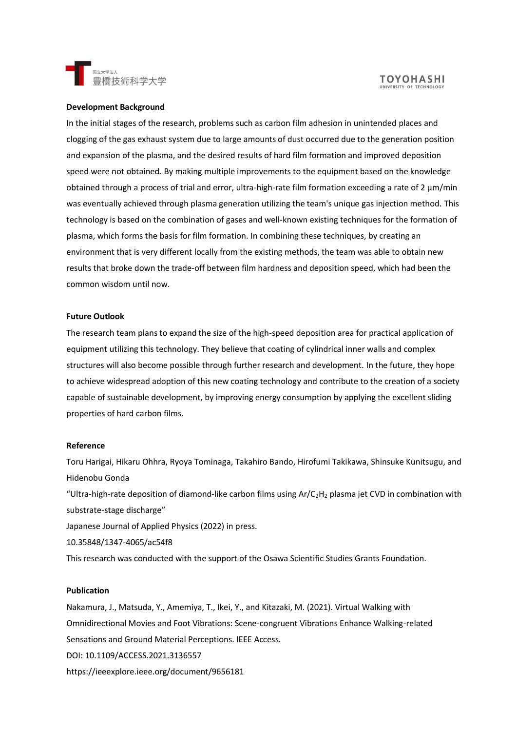



### **Development Background**

In the initial stages of the research, problems such as carbon film adhesion in unintended places and clogging of the gas exhaust system due to large amounts of dust occurred due to the generation position and expansion of the plasma, and the desired results of hard film formation and improved deposition speed were not obtained. By making multiple improvements to the equipment based on the knowledge obtained through a process of trial and error, ultra-high-rate film formation exceeding a rate of 2 μm/min was eventually achieved through plasma generation utilizing the team's unique gas injection method. This technology is based on the combination of gases and well-known existing techniques for the formation of plasma, which forms the basis for film formation. In combining these techniques, by creating an environment that is very different locally from the existing methods, the team was able to obtain new results that broke down the trade-off between film hardness and deposition speed, which had been the common wisdom until now.

### **Future Outlook**

The research team plans to expand the size of the high-speed deposition area for practical application of equipment utilizing this technology. They believe that coating of cylindrical inner walls and complex structures will also become possible through further research and development. In the future, they hope to achieve widespread adoption of this new coating technology and contribute to the creation of a society capable of sustainable development, by improving energy consumption by applying the excellent sliding properties of hard carbon films.

#### **Reference**

Toru Harigai, Hikaru Ohhra, Ryoya Tominaga, Takahiro Bando, Hirofumi Takikawa, Shinsuke Kunitsugu, and Hidenobu Gonda "Ultra-high-rate deposition of diamond-like carbon films using  $Ar/C<sub>2</sub>H<sub>2</sub>$  plasma jet CVD in combination with substrate-stage discharge"

Japanese Journal of Applied Physics (2022) in press.

10.35848/1347-4065/ac54f8

This research was conducted with the support of the Osawa Scientific Studies Grants Foundation.

## **Publication**

Nakamura, J., Matsuda, Y., Amemiya, T., Ikei, Y., and Kitazaki, M. (2021). Virtual Walking with Omnidirectional Movies and Foot Vibrations: Scene-congruent Vibrations Enhance Walking-related Sensations and Ground Material Perceptions. IEEE Access. DOI: 10.1109/ACCESS.2021.3136557 https://ieeexplore.ieee.org/document/9656181